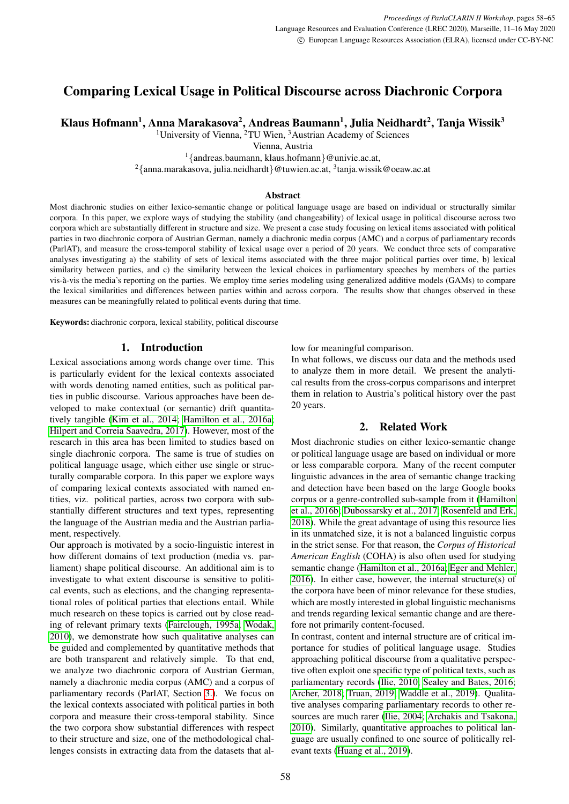# Comparing Lexical Usage in Political Discourse across Diachronic Corpora

Klaus Hofmann<sup>1</sup>, Anna Marakasova<sup>2</sup>, Andreas Baumann<sup>1</sup>, Julia Neidhardt<sup>2</sup>, Tanja Wissik<sup>3</sup>

<sup>1</sup>University of Vienna, <sup>2</sup>TU Wien, <sup>3</sup>Austrian Academy of Sciences

Vienna, Austria

<sup>1</sup>{andreas.baumann, klaus.hofmann}@univie.ac.at,

 $^{2}\{$ anna.marakasova, julia.neidhardt $\}$ @tuwien.ac.at,  $^{3}$ tanja.wissik@oeaw.ac.at

### Abstract

Most diachronic studies on either lexico-semantic change or political language usage are based on individual or structurally similar corpora. In this paper, we explore ways of studying the stability (and changeability) of lexical usage in political discourse across two corpora which are substantially different in structure and size. We present a case study focusing on lexical items associated with political parties in two diachronic corpora of Austrian German, namely a diachronic media corpus (AMC) and a corpus of parliamentary records (ParlAT), and measure the cross-temporal stability of lexical usage over a period of 20 years. We conduct three sets of comparative analyses investigating a) the stability of sets of lexical items associated with the three major political parties over time, b) lexical similarity between parties, and c) the similarity between the lexical choices in parliamentary speeches by members of the parties vis-a-vis the media's reporting on the parties. We employ time series modeling using generalized additive models (GAMs) to compare ` the lexical similarities and differences between parties within and across corpora. The results show that changes observed in these measures can be meaningfully related to political events during that time.

Keywords: diachronic corpora, lexical stability, political discourse

# 1. Introduction

Lexical associations among words change over time. This is particularly evident for the lexical contexts associated with words denoting named entities, such as political parties in public discourse. Various approaches have been developed to make contextual (or semantic) drift quantitatively tangible [\(Kim et al., 2014;](#page-7-0) [Hamilton et al., 2016a;](#page-6-0) [Hilpert and Correia Saavedra, 2017\)](#page-6-1). However, most of the research in this area has been limited to studies based on single diachronic corpora. The same is true of studies on political language usage, which either use single or structurally comparable corpora. In this paper we explore ways of comparing lexical contexts associated with named entities, viz. political parties, across two corpora with substantially different structures and text types, representing the language of the Austrian media and the Austrian parliament, respectively.

Our approach is motivated by a socio-linguistic interest in how different domains of text production (media vs. parliament) shape political discourse. An additional aim is to investigate to what extent discourse is sensitive to political events, such as elections, and the changing representational roles of political parties that elections entail. While much research on these topics is carried out by close reading of relevant primary texts [\(Fairclough, 1995a;](#page-6-2) [Wodak,](#page-7-1) [2010\)](#page-7-1), we demonstrate how such qualitative analyses can be guided and complemented by quantitative methods that are both transparent and relatively simple. To that end, we analyze two diachronic corpora of Austrian German, namely a diachronic media corpus (AMC) and a corpus of parliamentary records (ParlAT, Section [3.\)](#page-1-0). We focus on the lexical contexts associated with political parties in both corpora and measure their cross-temporal stability. Since the two corpora show substantial differences with respect to their structure and size, one of the methodological challenges consists in extracting data from the datasets that allow for meaningful comparison.

In what follows, we discuss our data and the methods used to analyze them in more detail. We present the analytical results from the cross-corpus comparisons and interpret them in relation to Austria's political history over the past 20 years.

# 2. Related Work

Most diachronic studies on either lexico-semantic change or political language usage are based on individual or more or less comparable corpora. Many of the recent computer linguistic advances in the area of semantic change tracking and detection have been based on the large Google books corpus or a genre-controlled sub-sample from it [\(Hamilton](#page-6-3) [et al., 2016b;](#page-6-3) [Dubossarsky et al., 2017;](#page-6-4) [Rosenfeld and Erk,](#page-7-2) [2018\)](#page-7-2). While the great advantage of using this resource lies in its unmatched size, it is not a balanced linguistic corpus in the strict sense. For that reason, the *Corpus of Historical American English* (COHA) is also often used for studying semantic change [\(Hamilton et al., 2016a;](#page-6-0) [Eger and Mehler,](#page-6-5) [2016\)](#page-6-5). In either case, however, the internal structure(s) of the corpora have been of minor relevance for these studies, which are mostly interested in global linguistic mechanisms and trends regarding lexical semantic change and are therefore not primarily content-focused.

In contrast, content and internal structure are of critical importance for studies of political language usage. Studies approaching political discourse from a qualitative perspective often exploit one specific type of political texts, such as parliamentary records [\(Ilie, 2010;](#page-7-3) [Sealey and Bates, 2016;](#page-7-4) [Archer, 2018;](#page-6-6) [Truan, 2019;](#page-7-5) [Waddle et al., 2019\)](#page-7-6). Qualitative analyses comparing parliamentary records to other resources are much rarer [\(Ilie, 2004;](#page-6-7) [Archakis and Tsakona,](#page-6-8) [2010\)](#page-6-8). Similarly, quantitative approaches to political language are usually confined to one source of politically relevant texts [\(Huang et al., 2019\)](#page-6-9).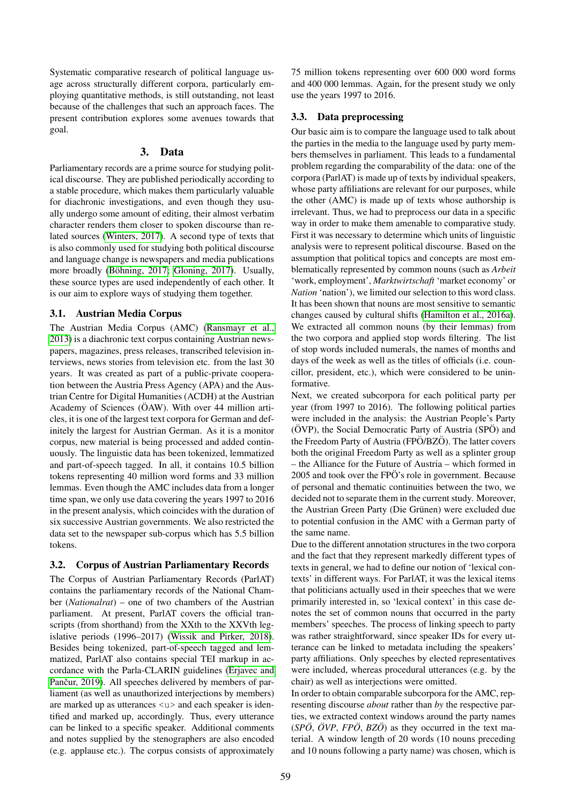Systematic comparative research of political language usage across structurally different corpora, particularly employing quantitative methods, is still outstanding, not least because of the challenges that such an approach faces. The present contribution explores some avenues towards that goal.

### 3. Data

<span id="page-1-0"></span>Parliamentary records are a prime source for studying political discourse. They are published periodically according to a stable procedure, which makes them particularly valuable for diachronic investigations, and even though they usually undergo some amount of editing, their almost verbatim character renders them closer to spoken discourse than related sources [\(Winters, 2017\)](#page-7-7). A second type of texts that is also commonly used for studying both political discourse and language change is newspapers and media publications more broadly (Böhning, 2017; [Gloning, 2017\)](#page-6-11). Usually, these source types are used independently of each other. It is our aim to explore ways of studying them together.

# 3.1. Austrian Media Corpus

The Austrian Media Corpus (AMC) [\(Ransmayr et al.,](#page-7-8) [2013\)](#page-7-8) is a diachronic text corpus containing Austrian newspapers, magazines, press releases, transcribed television interviews, news stories from television etc. from the last 30 years. It was created as part of a public-private cooperation between the Austria Press Agency (APA) and the Austrian Centre for Digital Humanities (ACDH) at the Austrian Academy of Sciences (ÖAW). With over 44 million articles, it is one of the largest text corpora for German and definitely the largest for Austrian German. As it is a monitor corpus, new material is being processed and added continuously. The linguistic data has been tokenized, lemmatized and part-of-speech tagged. In all, it contains 10.5 billion tokens representing 40 million word forms and 33 million lemmas. Even though the AMC includes data from a longer time span, we only use data covering the years 1997 to 2016 in the present analysis, which coincides with the duration of six successive Austrian governments. We also restricted the data set to the newspaper sub-corpus which has 5.5 billion tokens.

# 3.2. Corpus of Austrian Parliamentary Records

The Corpus of Austrian Parliamentary Records (ParlAT) contains the parliamentary records of the National Chamber (*Nationalrat*) – one of two chambers of the Austrian parliament. At present, ParlAT covers the official transcripts (from shorthand) from the XXth to the XXVth legislative periods (1996–2017) [\(Wissik and Pirker, 2018\)](#page-7-9). Besides being tokenized, part-of-speech tagged and lemmatized, ParlAT also contains special TEI markup in accordance with the Parla-CLARIN guidelines [\(Erjavec and](#page-6-12) Pančur, 2019). All speeches delivered by members of parliament (as well as unauthorized interjections by members) are marked up as utterances  $\langle u \rangle$  and each speaker is identified and marked up, accordingly. Thus, every utterance can be linked to a specific speaker. Additional comments and notes supplied by the stenographers are also encoded (e.g. applause etc.). The corpus consists of approximately

75 million tokens representing over 600 000 word forms and 400 000 lemmas. Again, for the present study we only use the years 1997 to 2016.

# 3.3. Data preprocessing

Our basic aim is to compare the language used to talk about the parties in the media to the language used by party members themselves in parliament. This leads to a fundamental problem regarding the comparability of the data: one of the corpora (ParlAT) is made up of texts by individual speakers, whose party affiliations are relevant for our purposes, while the other (AMC) is made up of texts whose authorship is irrelevant. Thus, we had to preprocess our data in a specific way in order to make them amenable to comparative study. First it was necessary to determine which units of linguistic analysis were to represent political discourse. Based on the assumption that political topics and concepts are most emblematically represented by common nouns (such as *Arbeit* 'work, employment', *Marktwirtschaft* 'market economy' or *Nation* 'nation'), we limited our selection to this word class. It has been shown that nouns are most sensitive to semantic changes caused by cultural shifts [\(Hamilton et al., 2016a\)](#page-6-0). We extracted all common nouns (by their lemmas) from the two corpora and applied stop words filtering. The list of stop words included numerals, the names of months and days of the week as well as the titles of officials (i.e. councillor, president, etc.), which were considered to be uninformative.

Next, we created subcorpora for each political party per year (from 1997 to 2016). The following political parties were included in the analysis: the Austrian People's Party (OVP), the Social Democratic Party of Austria (SPO) and the Freedom Party of Austria (FPO/BZO). The latter covers both the original Freedom Party as well as a splinter group – the Alliance for the Future of Austria – which formed in  $2005$  and took over the FPÖ's role in government. Because of personal and thematic continuities between the two, we decided not to separate them in the current study. Moreover, the Austrian Green Party (Die Grünen) were excluded due to potential confusion in the AMC with a German party of the same name.

Due to the different annotation structures in the two corpora and the fact that they represent markedly different types of texts in general, we had to define our notion of 'lexical contexts' in different ways. For ParlAT, it was the lexical items that politicians actually used in their speeches that we were primarily interested in, so 'lexical context' in this case denotes the set of common nouns that occurred in the party members' speeches. The process of linking speech to party was rather straightforward, since speaker IDs for every utterance can be linked to metadata including the speakers' party affiliations. Only speeches by elected representatives were included, whereas procedural utterances (e.g. by the chair) as well as interjections were omitted.

In order to obtain comparable subcorpora for the AMC, representing discourse *about* rather than *by* the respective parties, we extracted context windows around the party names  $(SP\ddot{o}, \ddot{o}VP, FP\ddot{o}, BZ\ddot{o})$  as they occurred in the text material. A window length of 20 words (10 nouns preceding and 10 nouns following a party name) was chosen, which is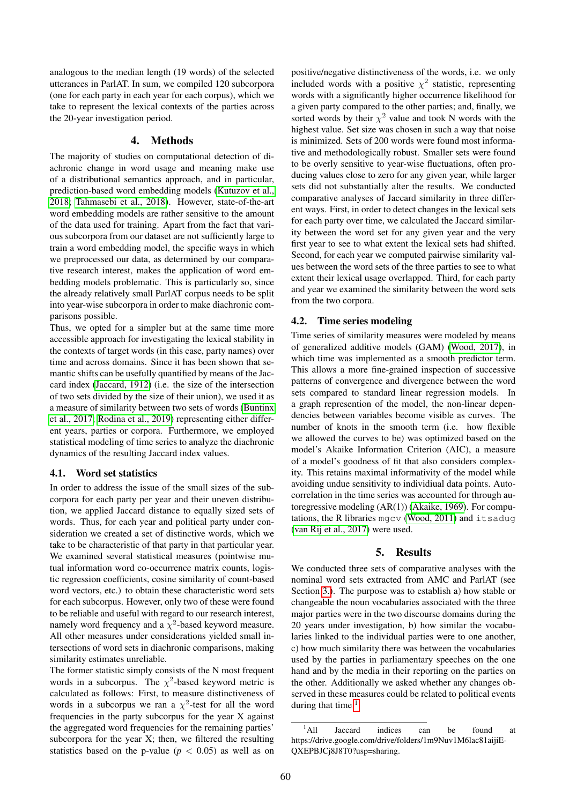analogous to the median length (19 words) of the selected utterances in ParlAT. In sum, we compiled 120 subcorpora (one for each party in each year for each corpus), which we take to represent the lexical contexts of the parties across the 20-year investigation period.

### 4. Methods

The majority of studies on computational detection of diachronic change in word usage and meaning make use of a distributional semantics approach, and in particular, prediction-based word embedding models [\(Kutuzov et al.,](#page-7-10) [2018;](#page-7-10) [Tahmasebi et al., 2018\)](#page-7-11). However, state-of-the-art word embedding models are rather sensitive to the amount of the data used for training. Apart from the fact that various subcorpora from our dataset are not sufficiently large to train a word embedding model, the specific ways in which we preprocessed our data, as determined by our comparative research interest, makes the application of word embedding models problematic. This is particularly so, since the already relatively small ParlAT corpus needs to be split into year-wise subcorpora in order to make diachronic comparisons possible.

Thus, we opted for a simpler but at the same time more accessible approach for investigating the lexical stability in the contexts of target words (in this case, party names) over time and across domains. Since it has been shown that semantic shifts can be usefully quantified by means of the Jaccard index [\(Jaccard, 1912\)](#page-7-12) (i.e. the size of the intersection of two sets divided by the size of their union), we used it as a measure of similarity between two sets of words [\(Buntinx](#page-6-13) [et al., 2017;](#page-6-13) [Rodina et al., 2019\)](#page-7-13) representing either different years, parties or corpora. Furthermore, we employed statistical modeling of time series to analyze the diachronic dynamics of the resulting Jaccard index values.

#### 4.1. Word set statistics

In order to address the issue of the small sizes of the subcorpora for each party per year and their uneven distribution, we applied Jaccard distance to equally sized sets of words. Thus, for each year and political party under consideration we created a set of distinctive words, which we take to be characteristic of that party in that particular year. We examined several statistical measures (pointwise mutual information word co-occurrence matrix counts, logistic regression coefficients, cosine similarity of count-based word vectors, etc.) to obtain these characteristic word sets for each subcorpus. However, only two of these were found to be reliable and useful with regard to our research interest, namely word frequency and a  $\chi^2$ -based keyword measure. All other measures under considerations yielded small intersections of word sets in diachronic comparisons, making similarity estimates unreliable.

The former statistic simply consists of the N most frequent words in a subcorpus. The  $\chi^2$ -based keyword metric is calculated as follows: First, to measure distinctiveness of words in a subcorpus we ran a  $\chi^2$ -test for all the word frequencies in the party subcorpus for the year X against the aggregated word frequencies for the remaining parties' subcorpora for the year X; then, we filtered the resulting statistics based on the p-value ( $p < 0.05$ ) as well as on positive/negative distinctiveness of the words, i.e. we only included words with a positive  $\chi^2$  statistic, representing words with a significantly higher occurrence likelihood for a given party compared to the other parties; and, finally, we sorted words by their  $\chi^2$  value and took N words with the highest value. Set size was chosen in such a way that noise is minimized. Sets of 200 words were found most informative and methodologically robust. Smaller sets were found to be overly sensitive to year-wise fluctuations, often producing values close to zero for any given year, while larger sets did not substantially alter the results. We conducted comparative analyses of Jaccard similarity in three different ways. First, in order to detect changes in the lexical sets for each party over time, we calculated the Jaccard similarity between the word set for any given year and the very first year to see to what extent the lexical sets had shifted. Second, for each year we computed pairwise similarity values between the word sets of the three parties to see to what extent their lexical usage overlapped. Third, for each party and year we examined the similarity between the word sets from the two corpora.

#### 4.2. Time series modeling

Time series of similarity measures were modeled by means of generalized additive models (GAM) [\(Wood, 2017\)](#page-7-14), in which time was implemented as a smooth predictor term. This allows a more fine-grained inspection of successive patterns of convergence and divergence between the word sets compared to standard linear regression models. In a graph represention of the model, the non-linear dependencies between variables become visible as curves. The number of knots in the smooth term (i.e. how flexible we allowed the curves to be) was optimized based on the model's Akaike Information Criterion (AIC), a measure of a model's goodness of fit that also considers complexity. This retains maximal informativity of the model while avoiding undue sensitivity to individiual data points. Autocorrelation in the time series was accounted for through autoregressive modeling (AR(1)) [\(Akaike, 1969\)](#page-6-14). For computations, the R libraries mgcv [\(Wood, 2011\)](#page-7-15) and itsadug [\(van Rij et al., 2017\)](#page-7-16) were used.

#### 5. Results

We conducted three sets of comparative analyses with the nominal word sets extracted from AMC and ParlAT (see Section [3.\)](#page-1-0). The purpose was to establish a) how stable or changeable the noun vocabularies associated with the three major parties were in the two discourse domains during the 20 years under investigation, b) how similar the vocabularies linked to the individual parties were to one another, c) how much similarity there was between the vocabularies used by the parties in parliamentary speeches on the one hand and by the media in their reporting on the parties on the other. Additionally we asked whether any changes observed in these measures could be related to political events during that time. $<sup>1</sup>$  $<sup>1</sup>$  $<sup>1</sup>$ </sup>

<span id="page-2-0"></span><sup>&</sup>lt;sup>1</sup>All Jaccard indices can be found at https://drive.google.com/drive/folders/1m9Nuv1M6lac81aijiE-QXEPBJCj8J8T0?usp=sharing.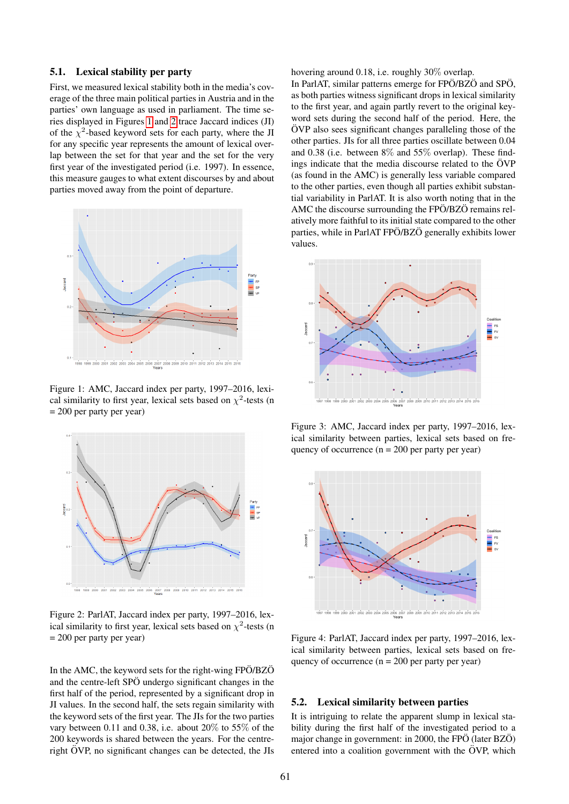# <span id="page-3-4"></span>5.1. Lexical stability per party

First, we measured lexical stability both in the media's coverage of the three main political parties in Austria and in the parties' own language as used in parliament. The time series displayed in Figures [1](#page-3-0) and [2](#page-3-1) trace Jaccard indices (JI) of the  $\chi^2$ -based keyword sets for each party, where the JI for any specific year represents the amount of lexical overlap between the set for that year and the set for the very first year of the investigated period (i.e. 1997). In essence, this measure gauges to what extent discourses by and about parties moved away from the point of departure.



<span id="page-3-0"></span>Figure 1: AMC, Jaccard index per party, 1997–2016, lexical similarity to first year, lexical sets based on  $\chi^2$ -tests (n  $= 200$  per party per year)



<span id="page-3-1"></span>Figure 2: ParlAT, Jaccard index per party, 1997–2016, lexical similarity to first year, lexical sets based on  $\chi^2$ -tests (n = 200 per party per year)

In the AMC, the keyword sets for the right-wing  $FPÖ/BZÖ$ and the centre-left SPÖ undergo significant changes in the first half of the period, represented by a significant drop in JI values. In the second half, the sets regain similarity with the keyword sets of the first year. The JIs for the two parties vary between 0.11 and 0.38, i.e. about 20% to 55% of the 200 keywords is shared between the years. For the centreright  $\ddot{O}VP$ , no significant changes can be detected, the JIs hovering around 0.18, i.e. roughly 30% overlap.

In ParlAT, similar patterns emerge for FPÖ/BZÖ and SPÖ, as both parties witness significant drops in lexical similarity to the first year, and again partly revert to the original keyword sets during the second half of the period. Here, the  $\ddot{O}VP$  also sees significant changes paralleling those of the other parties. JIs for all three parties oscillate between 0.04 and 0.38 (i.e. between 8% and 55% overlap). These findings indicate that the media discourse related to the  $\ddot{\text{O}}\text{VP}$ (as found in the AMC) is generally less variable compared to the other parties, even though all parties exhibit substantial variability in ParlAT. It is also worth noting that in the AMC the discourse surrounding the  $FPÖ/BZÖ$  remains relatively more faithful to its initial state compared to the other parties, while in ParlAT FPO/BZO generally exhibits lower values.



<span id="page-3-2"></span>Figure 3: AMC, Jaccard index per party, 1997–2016, lexical similarity between parties, lexical sets based on frequency of occurrence  $(n = 200$  per party per year)



<span id="page-3-3"></span>Figure 4: ParlAT, Jaccard index per party, 1997–2016, lexical similarity between parties, lexical sets based on frequency of occurrence  $(n = 200$  per party per year)

#### <span id="page-3-5"></span>5.2. Lexical similarity between parties

It is intriguing to relate the apparent slump in lexical stability during the first half of the investigated period to a major change in government: in 2000, the FPÖ (later BZÖ) entered into a coalition government with the  $\ddot{\text{O}}\text{VP}$ , which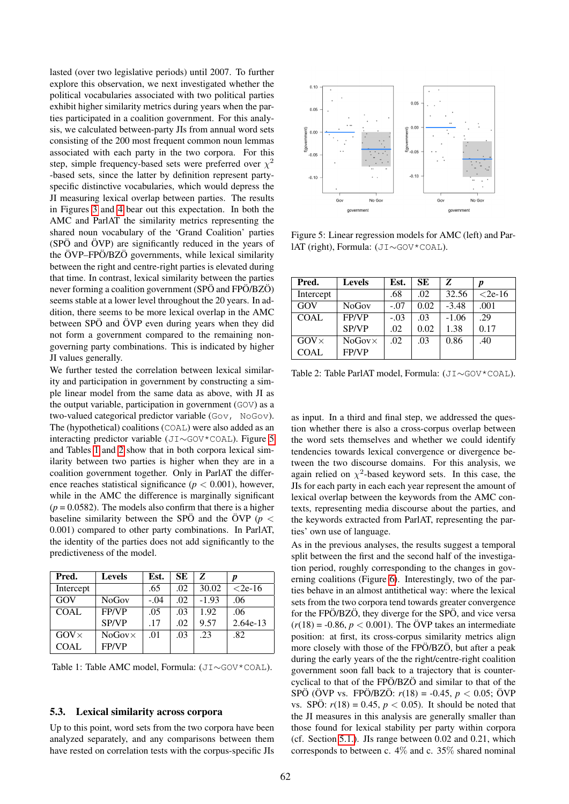lasted (over two legislative periods) until 2007. To further explore this observation, we next investigated whether the political vocabularies associated with two political parties exhibit higher similarity metrics during years when the parties participated in a coalition government. For this analysis, we calculated between-party JIs from annual word sets consisting of the 200 most frequent common noun lemmas associated with each party in the two corpora. For this step, simple frequency-based sets were preferred over  $\chi^2$ -based sets, since the latter by definition represent partyspecific distinctive vocabularies, which would depress the JI measuring lexical overlap between parties. The results in Figures [3](#page-3-2) and [4](#page-3-3) bear out this expectation. In both the AMC and ParlAT the similarity metrics representing the shared noun vocabulary of the 'Grand Coalition' parties  $(SP\ddot{\mathrm{O}})$  and  $\ddot{\mathrm{O}}$ VP) are significantly reduced in the years of the ÖVP-FPÖ/BZÖ governments, while lexical similarity between the right and centre-right parties is elevated during that time. In contrast, lexical similarity between the parties never forming a coalition government (SPÖ and FPÖ/BZÖ) seems stable at a lower level throughout the 20 years. In addition, there seems to be more lexical overlap in the AMC between SPÖ and ÖVP even during years when they did not form a government compared to the remaining nongoverning party combinations. This is indicated by higher JI values generally.

We further tested the correlation between lexical similarity and participation in government by constructing a simple linear model from the same data as above, with JI as the output variable, participation in government (GOV) as a two-valued categorical predictor variable (Gov, NoGov). The (hypothetical) coalitions (COAL) were also added as an interacting predictor variable (JI∼GOV\*COAL). Figure [5](#page-4-0) and Tables [1](#page-4-1) and [2](#page-4-2) show that in both corpora lexical similarity between two parties is higher when they are in a coalition government together. Only in ParlAT the difference reaches statistical significance ( $p < 0.001$ ), however, while in the AMC the difference is marginally significant  $(p = 0.0582)$ . The models also confirm that there is a higher baseline similarity between the SPO and the  $\ddot{O}VP$  ( $p <$ 0.001) compared to other party combinations. In ParlAT, the identity of the parties does not add significantly to the predictiveness of the model.

| Pred.        | <b>Levels</b>  | Est.   | <b>SE</b> | Z       | p          |
|--------------|----------------|--------|-----------|---------|------------|
| Intercept    |                | .65    | .02       | 30.02   | $< 2e-16$  |
| GOV          | <b>NoGov</b>   | $-.04$ | .02       | $-1.93$ | .06        |
| <b>COAL</b>  | <b>FP/VP</b>   | .05    | .03       | 1.92    | .06        |
|              | <b>SP/VP</b>   | .17    | .02       | 9.57    | $2.64e-13$ |
| $GOV \times$ | $NoGov \times$ | .01    | .03       | .23     | .82        |
| <b>COAL</b>  | FP/VP          |        |           |         |            |

<span id="page-4-1"></span>Table 1: Table AMC model, Formula: (JI∼GOV\*COAL).

#### <span id="page-4-3"></span>5.3. Lexical similarity across corpora

Up to this point, word sets from the two corpora have been analyzed separately, and any comparisons between them have rested on correlation tests with the corpus-specific JIs



<span id="page-4-0"></span>Figure 5: Linear regression models for AMC (left) and ParlAT (right), Formula: (JI∼GOV\*COAL).

| Pred.        | <b>Levels</b>   | Est.   | <b>SE</b> | Z       |           |
|--------------|-----------------|--------|-----------|---------|-----------|
| Intercept    |                 | .68    | .02       | 32.56   | $< 2e-16$ |
| GOV          | <b>NoGov</b>    | $-.07$ | 0.02      | $-3.48$ | .001      |
| <b>COAL</b>  | <b>FP/VP</b>    | $-.03$ | .03       | $-1.06$ | .29       |
|              | SP/VP           | .02    | 0.02      | 1.38    | 0.17      |
| $GOV \times$ | $No Gov \times$ | .02    | .03       | 0.86    | .40       |
| <b>COAL</b>  | FP/VP           |        |           |         |           |

<span id="page-4-2"></span>Table 2: Table ParlAT model, Formula: (JI∼GOV\*COAL).

as input. In a third and final step, we addressed the question whether there is also a cross-corpus overlap between the word sets themselves and whether we could identify tendencies towards lexical convergence or divergence between the two discourse domains. For this analysis, we again relied on  $\chi^2$ -based keyword sets. In this case, the JIs for each party in each each year represent the amount of lexical overlap between the keywords from the AMC contexts, representing media discourse about the parties, and the keywords extracted from ParlAT, representing the parties' own use of language.

As in the previous analyses, the results suggest a temporal split between the first and the second half of the investigation period, roughly corresponding to the changes in governing coalitions (Figure [6\)](#page-5-0). Interestingly, two of the parties behave in an almost antithetical way: where the lexical sets from the two corpora tend towards greater convergence for the  $FPÖ/BZÖ$ , they diverge for the  $SPÖ$ , and vice versa  $(r(18) = -0.86, p < 0.001)$ . The ÖVP takes an intermediate position: at first, its cross-corpus similarity metrics align more closely with those of the FPO/BZO, but after a peak during the early years of the the right/centre-right coalition government soon fall back to a trajectory that is countercyclical to that of the FPÖ/BZ $\ddot{o}$  and similar to that of the  $SPO$  ( $\ddot{O}VP$  vs.  $FP\ddot{O}/BZ\ddot{O}$ :  $r(18) = -0.45$ ,  $p < 0.05$ ;  $\ddot{O}VP$ vs. SPÖ:  $r(18) = 0.45$ ,  $p < 0.05$ ). It should be noted that the JI measures in this analysis are generally smaller than those found for lexical stability per party within corpora (cf. Section [5.1.\)](#page-3-4). JIs range between 0.02 and 0.21, which corresponds to between c. 4% and c. 35% shared nominal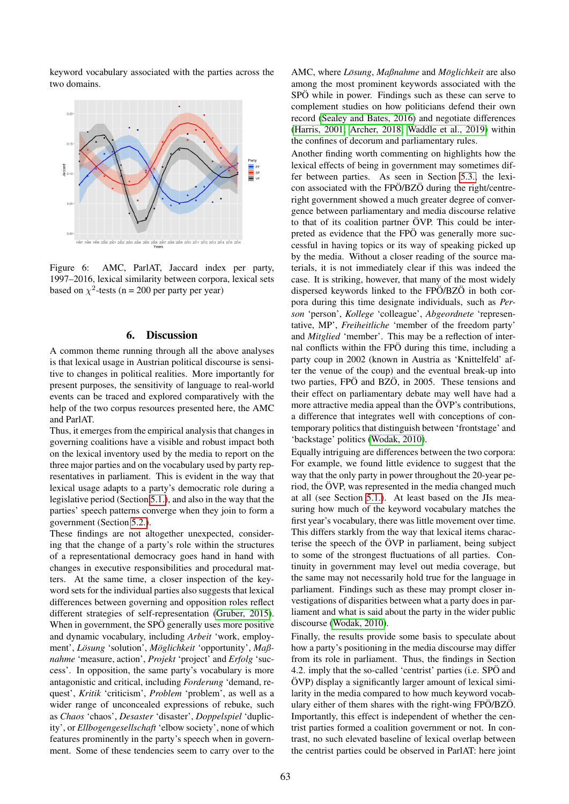keyword vocabulary associated with the parties across the two domains.



<span id="page-5-0"></span>Figure 6: AMC, ParlAT, Jaccard index per party, 1997–2016, lexical similarity between corpora, lexical sets based on  $\chi^2$ -tests (n = 200 per party per year)

# 6. Discussion

A common theme running through all the above analyses is that lexical usage in Austrian political discourse is sensitive to changes in political realities. More importantly for present purposes, the sensitivity of language to real-world events can be traced and explored comparatively with the help of the two corpus resources presented here, the AMC and ParlAT.

Thus, it emerges from the empirical analysis that changes in governing coalitions have a visible and robust impact both on the lexical inventory used by the media to report on the three major parties and on the vocabulary used by party representatives in parliament. This is evident in the way that lexical usage adapts to a party's democratic role during a legislative period (Section [5.1.\)](#page-3-4), and also in the way that the parties' speech patterns converge when they join to form a government (Section [5.2.\)](#page-3-5).

These findings are not altogether unexpected, considering that the change of a party's role within the structures of a representational democracy goes hand in hand with changes in executive responsibilities and procedural matters. At the same time, a closer inspection of the keyword sets for the individual parties also suggests that lexical differences between governing and opposition roles reflect different strategies of self-representation [\(Gruber, 2015\)](#page-6-15). When in government, the SPÖ generally uses more positive and dynamic vocabulary, including *Arbeit* 'work, employment', *Lösung* 'solution', *Möglichkeit* 'opportunity', *Maßnahme* 'measure, action', *Projekt* 'project' and *Erfolg* 'success'. In opposition, the same party's vocabulary is more antagonistic and critical, including *Forderung* 'demand, request', *Kritik* 'criticism', *Problem* 'problem', as well as a wider range of unconcealed expressions of rebuke, such as *Chaos* 'chaos', *Desaster* 'disaster', *Doppelspiel* 'duplicity', or *Ellbogengesellschaft* 'elbow society', none of which features prominently in the party's speech when in government. Some of these tendencies seem to carry over to the AMC, where *Lösung*, *Maβnahme* and *Möglichkeit* are also among the most prominent keywords associated with the SPÖ while in power. Findings such as these can serve to complement studies on how politicians defend their own record [\(Sealey and Bates, 2016\)](#page-7-4) and negotiate differences [\(Harris, 2001;](#page-6-16) [Archer, 2018;](#page-6-6) [Waddle et al., 2019\)](#page-7-6) within the confines of decorum and parliamentary rules.

Another finding worth commenting on highlights how the lexical effects of being in government may sometimes differ between parties. As seen in Section [5.3.,](#page-4-3) the lexicon associated with the  $FPÖ/BZÖ$  during the right/centreright government showed a much greater degree of convergence between parliamentary and media discourse relative to that of its coalition partner ÖVP. This could be interpreted as evidence that the FPÖ was generally more successful in having topics or its way of speaking picked up by the media. Without a closer reading of the source materials, it is not immediately clear if this was indeed the case. It is striking, however, that many of the most widely dispersed keywords linked to the FPÖ/BZÖ in both corpora during this time designate individuals, such as *Person* 'person', *Kollege* 'colleague', *Abgeordnete* 'representative, MP', *Freiheitliche* 'member of the freedom party' and *Mitglied* 'member'. This may be a reflection of internal conflicts within the FPÖ during this time, including a party coup in 2002 (known in Austria as 'Knittelfeld' after the venue of the coup) and the eventual break-up into two parties, FPÖ and BZÖ, in 2005. These tensions and their effect on parliamentary debate may well have had a more attractive media appeal than the  $\ddot{\text{O}}VP$ 's contributions, a difference that integrates well with conceptions of contemporary politics that distinguish between 'frontstage' and 'backstage' politics [\(Wodak, 2010\)](#page-7-1).

Equally intriguing are differences between the two corpora: For example, we found little evidence to suggest that the way that the only party in power throughout the 20-year period, the  $\ddot{\text{O}}$ VP, was represented in the media changed much at all (see Section [5.1.\)](#page-3-4). At least based on the JIs measuring how much of the keyword vocabulary matches the first year's vocabulary, there was little movement over time. This differs starkly from the way that lexical items characterise the speech of the  $\ddot{O}VP$  in parliament, being subject to some of the strongest fluctuations of all parties. Continuity in government may level out media coverage, but the same may not necessarily hold true for the language in parliament. Findings such as these may prompt closer investigations of disparities between what a party does in parliament and what is said about the party in the wider public discourse [\(Wodak, 2010\)](#page-7-1).

Finally, the results provide some basis to speculate about how a party's positioning in the media discourse may differ from its role in parliament. Thus, the findings in Section 4.2. imply that the so-called 'centrist' parties (i.e. SPÖ and  $\ddot{O}VP$ ) display a significantly larger amount of lexical similarity in the media compared to how much keyword vocabulary either of them shares with the right-wing FPÖ/BZÖ. Importantly, this effect is independent of whether the centrist parties formed a coalition government or not. In contrast, no such elevated baseline of lexical overlap between the centrist parties could be observed in ParlAT: here joint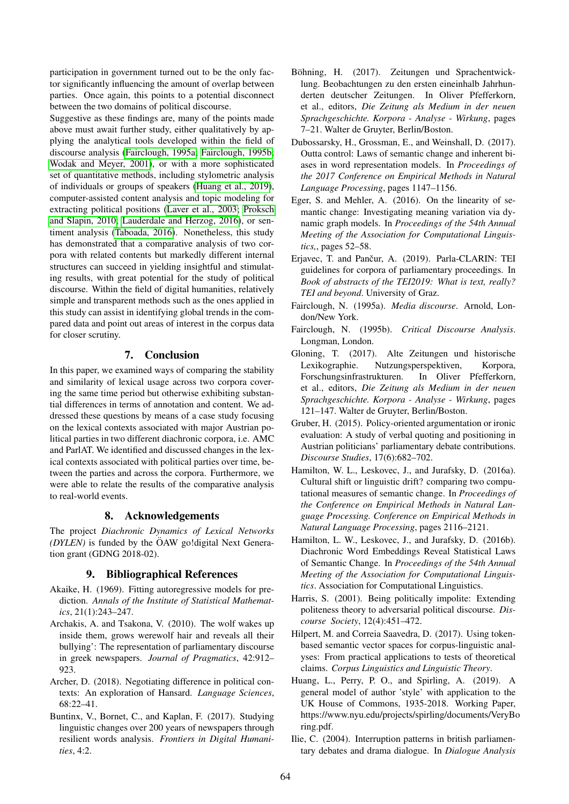participation in government turned out to be the only factor significantly influencing the amount of overlap between parties. Once again, this points to a potential disconnect between the two domains of political discourse.

Suggestive as these findings are, many of the points made above must await further study, either qualitatively by applying the analytical tools developed within the field of discourse analysis [\(Fairclough, 1995a;](#page-6-2) [Fairclough, 1995b;](#page-6-17) [Wodak and Meyer, 2001\)](#page-7-17), or with a more sophisticated set of quantitative methods, including stylometric analysis of individuals or groups of speakers [\(Huang et al., 2019\)](#page-6-9), computer-assisted content analysis and topic modeling for extracting political positions [\(Laver et al., 2003;](#page-7-18) [Proksch](#page-7-19) [and Slapin, 2010;](#page-7-19) [Lauderdale and Herzog, 2016\)](#page-7-20), or sentiment analysis [\(Taboada, 2016\)](#page-7-21). Nonetheless, this study has demonstrated that a comparative analysis of two corpora with related contents but markedly different internal structures can succeed in yielding insightful and stimulating results, with great potential for the study of political discourse. Within the field of digital humanities, relatively simple and transparent methods such as the ones applied in this study can assist in identifying global trends in the compared data and point out areas of interest in the corpus data for closer scrutiny.

# 7. Conclusion

In this paper, we examined ways of comparing the stability and similarity of lexical usage across two corpora covering the same time period but otherwise exhibiting substantial differences in terms of annotation and content. We addressed these questions by means of a case study focusing on the lexical contexts associated with major Austrian political parties in two different diachronic corpora, i.e. AMC and ParlAT. We identified and discussed changes in the lexical contexts associated with political parties over time, between the parties and across the corpora. Furthermore, we were able to relate the results of the comparative analysis to real-world events.

# 8. Acknowledgements

The project *Diachronic Dynamics of Lexical Networks (DYLEN)* is funded by the ÖAW go!digital Next Generation grant (GDNG 2018-02).

# 9. Bibliographical References

- <span id="page-6-14"></span>Akaike, H. (1969). Fitting autoregressive models for prediction. *Annals of the Institute of Statistical Mathematics*, 21(1):243–247.
- <span id="page-6-8"></span>Archakis, A. and Tsakona, V. (2010). The wolf wakes up inside them, grows werewolf hair and reveals all their bullying': The representation of parliamentary discourse in greek newspapers. *Journal of Pragmatics*, 42:912– 923.
- <span id="page-6-6"></span>Archer, D. (2018). Negotiating difference in political contexts: An exploration of Hansard. *Language Sciences*, 68:22–41.
- <span id="page-6-13"></span>Buntinx, V., Bornet, C., and Kaplan, F. (2017). Studying linguistic changes over 200 years of newspapers through resilient words analysis. *Frontiers in Digital Humanities*, 4:2.
- <span id="page-6-10"></span>Böhning, H. (2017). Zeitungen und Sprachentwicklung. Beobachtungen zu den ersten eineinhalb Jahrhunderten deutscher Zeitungen. In Oliver Pfefferkorn, et al., editors, *Die Zeitung als Medium in der neuen Sprachgeschichte. Korpora - Analyse - Wirkung*, pages 7–21. Walter de Gruyter, Berlin/Boston.
- <span id="page-6-4"></span>Dubossarsky, H., Grossman, E., and Weinshall, D. (2017). Outta control: Laws of semantic change and inherent biases in word representation models. In *Proceedings of the 2017 Conference on Empirical Methods in Natural Language Processing*, pages 1147–1156.
- <span id="page-6-5"></span>Eger, S. and Mehler, A. (2016). On the linearity of semantic change: Investigating meaning variation via dynamic graph models. In *Proceedings of the 54th Annual Meeting of the Association for Computational Linguistics,*, pages 52–58.
- <span id="page-6-12"></span>Erjavec, T. and Pančur, A. (2019). Parla-CLARIN: TEI guidelines for corpora of parliamentary proceedings. In *Book of abstracts of the TEI2019: What is text, really? TEI and beyond*. University of Graz.
- <span id="page-6-2"></span>Fairclough, N. (1995a). *Media discourse*. Arnold, London/New York.
- <span id="page-6-17"></span>Fairclough, N. (1995b). *Critical Discourse Analysis*. Longman, London.
- <span id="page-6-11"></span>Gloning, T. (2017). Alte Zeitungen und historische Lexikographie. Nutzungsperspektiven, Korpora, Forschungsinfrastrukturen. In Oliver Pfefferkorn, et al., editors, *Die Zeitung als Medium in der neuen Sprachgeschichte. Korpora - Analyse - Wirkung*, pages 121–147. Walter de Gruyter, Berlin/Boston.
- <span id="page-6-15"></span>Gruber, H. (2015). Policy-oriented argumentation or ironic evaluation: A study of verbal quoting and positioning in Austrian politicians' parliamentary debate contributions. *Discourse Studies*, 17(6):682–702.
- <span id="page-6-0"></span>Hamilton, W. L., Leskovec, J., and Jurafsky, D. (2016a). Cultural shift or linguistic drift? comparing two computational measures of semantic change. In *Proceedings of the Conference on Empirical Methods in Natural Language Processing. Conference on Empirical Methods in Natural Language Processing*, pages 2116–2121.
- <span id="page-6-3"></span>Hamilton, L. W., Leskovec, J., and Jurafsky, D. (2016b). Diachronic Word Embeddings Reveal Statistical Laws of Semantic Change. In *Proceedings of the 54th Annual Meeting of the Association for Computational Linguistics*. Association for Computational Linguistics.
- <span id="page-6-16"></span>Harris, S. (2001). Being politically impolite: Extending politeness theory to adversarial political discourse. *Discourse Society*, 12(4):451–472.
- <span id="page-6-1"></span>Hilpert, M. and Correia Saavedra, D. (2017). Using tokenbased semantic vector spaces for corpus-linguistic analyses: From practical applications to tests of theoretical claims. *Corpus Linguistics and Linguistic Theory*.
- <span id="page-6-9"></span>Huang, L., Perry, P. O., and Spirling, A. (2019). A general model of author 'style' with application to the UK House of Commons, 1935-2018. Working Paper, https://www.nyu.edu/projects/spirling/documents/VeryBo ring.pdf.
- <span id="page-6-7"></span>Ilie, C. (2004). Interruption patterns in british parliamentary debates and drama dialogue. In *Dialogue Analysis*